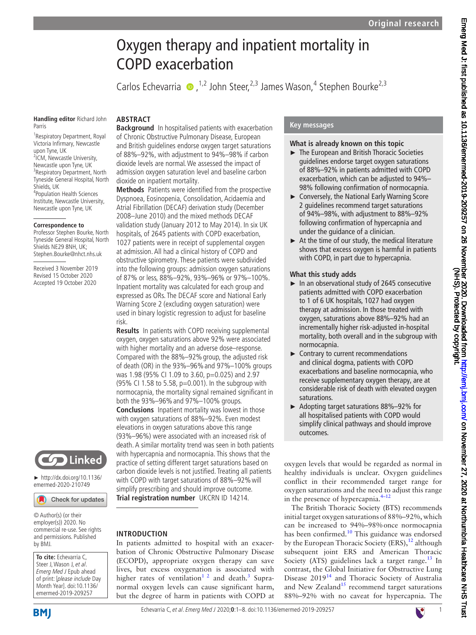# Oxygen therapy and inpatient mortality in COPD exacerbation

Carlos Echevarria  $\bullet$ ,<sup>1,2</sup> John Steer,<sup>2,3</sup> James Wason,<sup>4</sup> Stephen Bourke<sup>2,3</sup>

**Handling editor** Richard John Parris

1 Respiratory Department, Royal Victoria Infirmary, Newcastle upon Tyne, UK 2 ICM, Newcastle University, Newcastle upon Tyne, UK 3 Respiratory Department, North Tyneside General Hospital, North Shields, UK 4 Population Health Sciences Institute, Newcastle University, Newcastle upon Tyne, UK

#### **Correspondence to**

Professor Stephen Bourke, North Tyneside General Hospital, North Shields NE29 8NH, UK; Stephen.Bourke@nhct.nhs.uk

Received 3 November 2019 Revised 15 October 2020 Accepted 19 October 2020



► [http://dx.doi.org/10.1136/](http://​dx.​doi.​org/​10.​1136/emermed-2020-210749) [emermed-2020-210749](http://​dx.​doi.​org/​10.​1136/emermed-2020-210749)

Check for updates

© Author(s) (or their employer(s)) 2020. No commercial re-use. See rights and permissions. Published by BMJ.

**To cite:** Echevarria C, Steer J, Wason J, et al. Emerg Med J Epub ahead of print: [please include Day Month Year]. doi:10.1136/ emermed-2019-209257

**BMI** 

## **ARSTRACT**

**Background** In hospitalised patients with exacerbation of Chronic Obstructive Pulmonary Disease, European and British guidelines endorse oxygen target saturations of 88%–92%, with adjustment to 94%–98% if carbon dioxide levels are normal. We assessed the impact of admission oxygen saturation level and baseline carbon dioxide on inpatient mortality.

**Methods** Patients were identified from the prospective Dyspnoea, Eosinopenia, Consolidation, Acidaemia and Atrial Fibrillation (DECAF) derivation study (December 2008–June 2010) and the mixed methods DECAF validation study (January 2012 to May 2014). In six UK hospitals, of 2645 patients with COPD exacerbation, 1027 patients were in receipt of supplemental oxygen at admission. All had a clinical history of COPD and obstructive spirometry. These patients were subdivided into the following groups: admission oxygen saturations of 87% or less, 88%–92%, 93%–96% or 97%–100%. Inpatient mortality was calculated for each group and expressed as ORs. The DECAF score and National Early Warning Score 2 (excluding oxygen saturation) were used in binary logistic regression to adjust for baseline risk.

**Results** In patients with COPD receiving supplemental oxygen, oxygen saturations above 92% were associated with higher mortality and an adverse dose–response. Compared with the 88%–92%group, the adjusted risk of death (OR) in the 93%–96%and 97%–100% groups was 1.98 (95% CI 1.09 to 3.60, p=0.025) and 2.97 (95% CI 1.58 to 5.58, p=0.001). In the subgroup with normocapnia, the mortality signal remained significant in both the 93%-96% and 97%-100% groups. **Conclusions** Inpatient mortality was lowest in those with oxygen saturations of 88%–92%. Even modest elevations in oxygen saturations above this range (93%–96%) were associated with an increased risk of death. A similar mortality trend was seen in both patients with hypercapnia and normocapnia. This shows that the practice of setting different target saturations based on carbon dioxide levels is not justified. Treating all patients with COPD with target saturations of 88%–92% will simplify prescribing and should improve outcome. **Trial registration number** UKCRN ID 14214.

## **INTRODUCTION**

In patients admitted to hospital with an exacerbation of Chronic Obstructive Pulmonary Disease (ECOPD), appropriate oxygen therapy can save lives, but excess oxygenation is associated with higher rates of ventilation<sup>12</sup> and death.<sup>[3](#page-6-1)</sup> Supranormal oxygen levels can cause significant harm, but the degree of harm in patients with COPD at

## **Key messages**

#### **What is already known on this topic**

- ► The European and British Thoracic Societies guidelines endorse target oxygen saturations of 88%–92% in patients admitted with COPD exacerbation, which can be adjusted to 94%– 98% following confirmation of normocapnia.
- ► Conversely, the National Early Warning Score 2 quidelines recommend target saturations of 94%–98%, with adjustment to 88%–92% following confirmation of hypercapnia and under the guidance of a clinician.
- $\blacktriangleright$  At the time of our study, the medical literature shows that excess oxygen is harmful in patients with COPD, in part due to hypercapnia.

## **What this study adds**

- ► In an observational study of 2645 consecutive patients admitted with COPD exacerbation to 1 of 6 UK hospitals, 1027 had oxygen therapy at admission. In those treated with oxygen, saturations above 88%–92% had an incrementally higher risk-adjusted in-hospital mortality, both overall and in the subgroup with normocapnia.
- ► Contrary to current recommendations and clinical dogma, patients with COPD exacerbations and baseline normocapnia, who receive supplementary oxygen therapy, are at considerable risk of death with elevated oxygen saturations.
- ► Adopting target saturations 88%–92% for all hospitalised patients with COPD would simplify clinical pathways and should improve outcomes.

oxygen levels that would be regarded as normal in healthy individuals is unclear. Oxygen guidelines conflict in their recommended target range for oxygen saturations and the need to adjust this range in the presence of hypercapnia.<sup>4-12</sup>

The British Thoracic Society (BTS) recommends initial target oxygen saturations of 88%–92%, which can be increased to 94%–98%once normocapnia has been confirmed.<sup>10</sup> This guidance was endorsed by the European Thoracic Society (ERS), $^{12}$  $^{12}$  $^{12}$  although subsequent joint ERS and American Thoracic Society (ATS) guidelines lack a target range. $^{13}$  In contrast, the Global Initiative for Obstructive Lung Disease  $2019<sup>14</sup>$  $2019<sup>14</sup>$  $2019<sup>14</sup>$  and Thoracic Society of Australia and New Zealand $15$  recommend target saturations 88%–92% with no caveat for hypercapnia. The

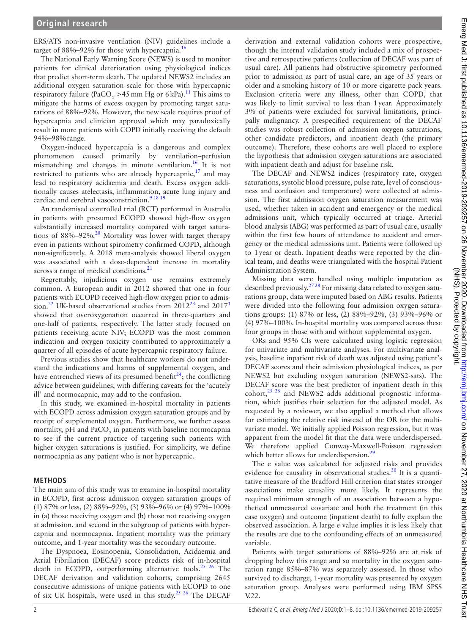ERS/ATS non-invasive ventilation (NIV) guidelines include a target of 88%–92% for those with hypercapnia.<sup>[16](#page-6-8)</sup>

The National Early Warning Score (NEWS) is used to monitor patients for clinical deterioration using physiological indices that predict short-term death. The updated NEWS2 includes an additional oxygen saturation scale for those with hypercapnic respiratory failure (PaCO<sub>2</sub> > 45 mm Hg or 6 kPa).<sup>11</sup> This aims to mitigate the harms of excess oxygen by promoting target saturations of 88%–92%. However, the new scale requires proof of hypercapnia and clinician approval which may paradoxically result in more patients with COPD initially receiving the default 94%–98%range.

Oxygen-induced hypercapnia is a dangerous and complex phenomenon caused primarily by ventilation–perfusion mismatching and changes in minute ventilation.<sup>[16](#page-6-8)</sup> It is not restricted to patients who are already hypercapnic, $17$  and may lead to respiratory acidaemia and death. Excess oxygen additionally causes atelectasis, inflammation, acute lung injury and cardiac and cerebral vasoconstriction.<sup>9</sup><sup>18 19</sup>

An randomised controlled trial (RCT) performed in Australia in patients with presumed ECOPD showed high-flow oxygen substantially increased mortality compared with target saturations of 88%–92%.<sup>20</sup> Mortality was lower with target therapy even in patients without spirometry confirmed COPD, although non-significantly. A 2018 meta-analysis showed liberal oxygen was associated with a dose-dependent increase in mortality across a range of medical conditions.<sup>21</sup>

Regrettably, injudicious oxygen use remains extremely common. A European audit in 2012 showed that one in four patients with ECOPD received high-flow oxygen prior to admission.<sup>22</sup> UK-based observational studies from  $2012^{23}$  $2012^{23}$  $2012^{23}$  and  $2017<sup>1</sup>$ showed that overoxygenation occurred in three-quarters and one-half of patients, respectively. The latter study focused on patients receiving acute NIV; ECOPD was the most common indication and oxygen toxicity contributed to approximately a quarter of all episodes of acute hypercapnic respiratory failure.

Previous studies show that healthcare workers do not understand the indications and harms of supplemental oxygen, and have entrenched views of its presumed benefit<sup>[24](#page-6-16)</sup>; the conflicting advice between guidelines, with differing caveats for the 'acutely ill' and normocapnic, may add to the confusion.

In this study, we examined in-hospital mortality in patients with ECOPD across admission oxygen saturation groups and by receipt of supplemental oxygen. Furthermore, we further assess mortality, pH and  $\text{PaCO}_2$  in patients with baseline normocapnia to see if the current practice of targeting such patients with higher oxygen saturations is justified. For simplicity, we define normocapnia as any patient who is not hypercapnic.

#### **METHODS**

The main aim of this study was to examine in-hospital mortality in ECOPD, first across admission oxygen saturation groups of (1) 87% or less, (2) 88%–92%, (3) 93%–96% or (4) 97%–100% in (a) those receiving oxygen and (b) those not receiving oxygen at admission, and second in the subgroup of patients with hypercapnia and normocapnia. Inpatient mortality was the primary outcome, and 1-year mortality was the secondary outcome.

The Dyspnoea, Eosinopenia, Consolidation, Acidaemia and Atrial Fibrillation (DECAF) score predicts risk of in-hospital death in ECOPD, outperforming alternative tools.<sup>25 26</sup> The DECAF derivation and validation cohorts, comprising 2645 consecutive admissions of unique patients with ECOPD to one of six UK hospitals, were used in this study.<sup>25 26</sup> The DECAF

derivation and external validation cohorts were prospective, though the internal validation study included a mix of prospective and retrospective patients (collection of DECAF was part of usual care). All patients had obstructive spirometry performed prior to admission as part of usual care, an age of 35 years or older and a smoking history of 10 or more cigarette pack years. Exclusion criteria were any illness, other than COPD, that was likely to limit survival to less than 1year. Approximately 3% of patients were excluded for survival limitations, principally malignancy. A prespecified requirement of the DECAF studies was robust collection of admission oxygen saturations, other candidate predictors, and inpatient death (the primary outcome). Therefore, these cohorts are well placed to explore the hypothesis that admission oxygen saturations are associated with inpatient death and adjust for baseline risk.

The DECAF and NEWS2 indices (respiratory rate, oxygen saturations, systolic blood pressure, pulse rate, level of consciousness and confusion and temperature) were collected at admission. The first admission oxygen saturation measurement was used, whether taken in accident and emergency or the medical admissions unit, which typically occurred at triage. Arterial blood analysis (ABG) was performed as part of usual care, usually within the first few hours of attendance to accident and emergency or the medical admissions unit. Patients were followed up to 1year or death. Inpatient deaths were reported by the clinical team, and deaths were triangulated with the hospital Patient Administration System.

Missing data were handled using multiple imputation as described previously[.27 28](#page-7-0) For missing data related to oxygen saturations group, data were imputed based on ABG results. Patients were divided into the following four admission oxygen saturations groups: (1) 87% or less, (2) 88%–92%, (3) 93%–96% or (4) 97%–100%. In-hospital mortality was compared across these four groups in those with and without supplemental oxygen.

ORs and 95% CIs were calculated using logistic regression for univariate and multivariate analyses. For multivariate analysis, baseline inpatient risk of death was adjusted using patient's DECAF scores and their admission physiological indices, as per NEWS2 but excluding oxygen saturation (NEWS2-sats). The DECAF score was the best predictor of inpatient death in this  $\text{cohort}$ ,  $^{25}$   $^{26}$  and NEWS2 adds additional prognostic information, which justifies their selection for the adjusted model. As requested by a reviewer, we also applied a method that allows for estimating the relative risk instead of the OR for the multivariate model. We initially applied Poisson regression, but it was apparent from the model fit that the data were underdispersed. We therefore applied Conway-Maxwell-Poisson regression which better allows for underdispersion.<sup>[29](#page-7-1)</sup>

The e value was calculated for adjusted risks and provides evidence for causality in observational studies.<sup>30</sup> It is a quantitative measure of the Bradford Hill criterion that states stronger associations make causality more likely. It represents the required minimum strength of an association between a hypothetical unmeasured covariate and both the treatment (in this case oxygen) and outcome (inpatient death) to fully explain the observed association. A large e value implies it is less likely that the results are due to the confounding effects of an unmeasured variable.

Patients with target saturations of 88%–92% are at risk of dropping below this range and so mortality in the oxygen saturation range 85%–87% was separately assessed. In those who survived to discharge, 1-year mortality was presented by oxygen saturation group. Analyses were performed using IBM SPSS V.22.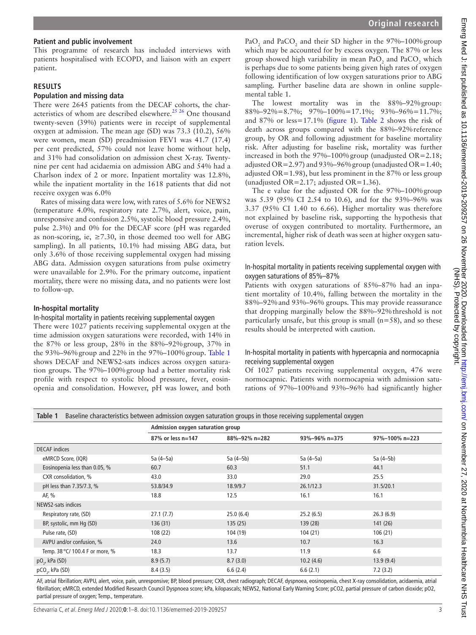#### **Patient and public involvement**

This programme of research has included interviews with patients hospitalised with ECOPD, and liaison with an expert patient.

#### **RESULTS**

#### **Population and missing data**

There were 2645 patients from the DECAF cohorts, the characteristics of whom are described elsewhere.<sup>25 26</sup> One thousand twenty-seven (39%) patients were in receipt of supplemental oxygen at admission. The mean age (SD) was 73.3 (10.2), 56% were women, mean (SD) preadmission FEV1 was 41.7 (17.4) per cent predicted, 57% could not leave home without help, and 31% had consolidation on admission chest X-ray. Twentynine per cent had acidaemia on admission ABG and 54% had a Charlson index of 2 or more. Inpatient mortality was 12.8%, while the inpatient mortality in the 1618 patients that did not receive oxygen was 6.0%

Rates of missing data were low, with rates of 5.6% for NEWS2 (temperature 4.0%, respiratory rate 2.7%, alert, voice, pain, unresponsive and confusion 2.5%, systolic blood pressure 2.4%, pulse 2.3%) and 0% for the DECAF score (pH was regarded as non-scoring, ie,  $\geq 7.30$ , in those deemed too well for ABG sampling). In all patients, 10.1% had missing ABG data, but only 3.6% of those receiving supplemental oxygen had missing ABG data. Admission oxygen saturations from pulse oximetry were unavailable for 2.9%. For the primary outcome, inpatient mortality, there were no missing data, and no patients were lost to follow-up.

#### **In-hospital mortality**

## In-hospital mortality in patients receiving supplemental oxygen

There were 1027 patients receiving supplemental oxygen at the time admission oxygen saturations were recorded, with 14% in the 87% or less group, 28% in the 88%–92%group, 37% in the 93%–96%group and 22% in the 97%–100%group. [Table](#page-2-0) 1 shows DECAF and NEWS2-sats indices across oxygen saturation groups. The 97%–100%group had a better mortality risk profile with respect to systolic blood pressure, fever, eosinopenia and consolidation. However, pH was lower, and both

 $PaO<sub>2</sub>$  and PaCO<sub>2</sub> and their SD higher in the 97%–100% group which may be accounted for by excess oxygen. The 87% or less group showed high variability in mean  $PaO_2$  and  $PaCO_2$  which is perhaps due to some patients being given high rates of oxygen following identification of low oxygen saturations prior to ABG sampling. Further baseline data are shown in [online supple](https://dx.doi.org/10.1136/emermed-2019-209257)[mental table 1.](https://dx.doi.org/10.1136/emermed-2019-209257)

The lowest mortality was in the 88%–92%group: 88%–92%=8.7%; 97%–100%=17.1%; 93%–96%=11.7%; and 87% or less=17.1% ([figure](#page-3-0) 1). [Table](#page-3-1) 2 shows the risk of death across groups compared with the 88%–92%reference group, by OR and following adjustment for baseline mortality risk. After adjusting for baseline risk, mortality was further increased in both the  $97\% - 100\%$  group (unadjusted OR=2.18; adjusted OR=2.97) and 93%–96% group (unadjusted OR=1.40; adjusted  $OR=1.98$ ), but less prominent in the 87% or less group (unadjusted OR=2.17; adjusted OR=1.36).

The e value for the adjusted OR for the 97%–100%group was 5.39 (95% CI 2.54 to 10.6), and for the 93%–96% was 3.37 (95% CI 1.40 to 6.66). Higher mortality was therefore not explained by baseline risk, supporting the hypothesis that overuse of oxygen contributed to mortality. Furthermore, an incremental, higher risk of death was seen at higher oxygen saturation levels.

#### In-hospital mortality in patients receiving supplemental oxygen with oxygen saturations of 85%–87%

Patients with oxygen saturations of 85%–87% had an inpatient mortality of 10.4%, falling between the mortality in the 88%–92%and 93%–96% groups. This may provide reassurance that dropping marginally below the 88%–92% threshold is not particularly unsafe, but this group is small  $(n=58)$ , and so these results should be interpreted with caution.

#### In-hospital mortality in patients with hypercapnia and normocapnia receiving supplemental oxygen

Of 1027 patients receiving supplemental oxygen, 476 were normocapnic. Patients with normocapnia with admission saturations of 97%–100%and 93%–96% had significantly higher

#### <span id="page-2-0"></span>**Table 1** Baseline characteristics between admission oxygen saturation groups in those receiving supplemental oxygen

|                                 | Admission oxygen saturation group |               |                     |                      |
|---------------------------------|-----------------------------------|---------------|---------------------|----------------------|
|                                 | 87% or less n=147                 | 88%-92% n=282 | $93\% - 96\%$ n=375 | $97\% - 100\%$ n=223 |
| <b>DECAF</b> indices            |                                   |               |                     |                      |
| eMRCD Score, (IQR)              | 5a (4–5a)                         | 5a (4–5b)     | 5a (4-5a)           | 5a (4–5b)            |
| Eosinopenia less than 0.05, %   | 60.7                              | 60.3          | 51.1                | 44.1                 |
| CXR consolidation, %            | 43.0                              | 33.0          | 29.0                | 25.5                 |
| pH less than 7.35/7.3, %        | 53.8/34.9                         | 18.9/9.7      | 26.1/12.3           | 31.5/20.1            |
| AF, %                           | 18.8                              | 12.5          | 16.1                | 16.1                 |
| NEWS2-sats indices              |                                   |               |                     |                      |
| Respiratory rate, (SD)          | 27.1(7.7)                         | 25.0(6.4)     | 25.2(6.5)           | 26.3(6.9)            |
| BP, systolic, mm Hg (SD)        | 136(31)                           | 135(25)       | 139 (28)            | 141 (26)             |
| Pulse rate, (SD)                | 108(22)                           | 104 (19)      | 104(21)             | 106(21)              |
| AVPU and/or confusion, %        | 24.0                              | 13.6          | 10.7                | 16.3                 |
| Temp. 38 °C/ 100.4 F or more, % | 18.3                              | 13.7          | 11.9                | 6.6                  |
| $pO_{2}$ , kPa (SD)             | 8.9(5.7)                          | 8.7(3.0)      | 10.2(4.6)           | 13.9(9.4)            |
| $pCO2$ , kPa (SD)               | 8.4(3.5)                          | 6.6(2.4)      | 6.6(2.1)            | 7.2(3.2)             |

AF, atrial fibrillation; AVPU, alert, voice, pain, unresponsive; BP, blood pressure; CXR, chest radiograph; DECAF, dyspnoea, eosinopenia, chest X-ray consolidation, acidaemia, atrial fibrillation; eMRCD, extended Modified Research Council Dyspnoea score; kPa, kilopascals; NEWS2, National Early Warning Score; pCO2, partial pressure of carbon dioxide; pO2, partial pressure of oxygen; Temp., temperature.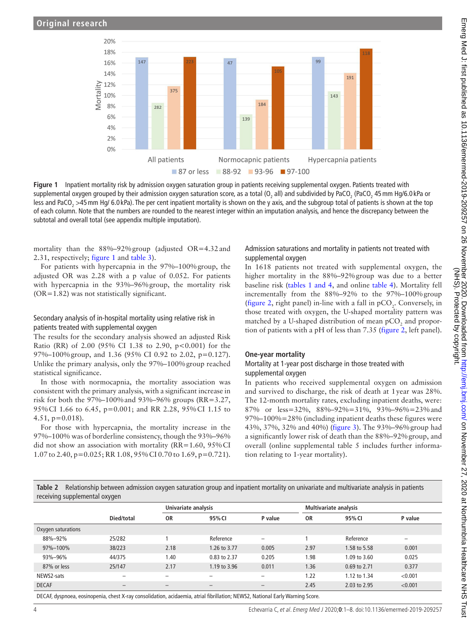

**Figure 1** Inpatient mortality risk by admission oxygen saturation group in patients receiving supplemental oxygen. Patients treated with supplemental oxygen grouped by their admission oxygen saturation score, as a total (O<sub>2</sub> all) and subdivided by PaCO<sub>2</sub> (PaCO<sub>2</sub> 45 mm Hg/6.0 kPa or less and PaCO<sub>2</sub> >45 mm Hg/ 6.0 kPa). The per cent inpatient mortality is shown on the y axis, and the subgroup total of patients is shown at the top of each column. Note that the numbers are rounded to the nearest integer within an imputation analysis, and hence the discrepancy between the subtotal and overall total (see appendix multiple imputation).

mortality than the 88%–92%group (adjusted OR=4.32and 2.31, respectively; [figure](#page-3-0) 1 and [table](#page-4-0) 3).

For patients with hypercapnia in the 97%–100%group, the adjusted OR was 2.28 with a p value of 0.052. For patients with hypercapnia in the 93%–96% group, the mortality risk (OR=1.82) was not statistically significant.

## Secondary analysis of in-hospital mortality using relative risk in patients treated with supplemental oxygen

The results for the secondary analysis showed an adjusted Risk Ratio (RR) of 2.00 (95% CI 1.38 to 2.90, p<0.001) for the 97%–100%group, and 1.36 (95% CI 0.92 to 2.02, p=0.127). Unlike the primary analysis, only the 97%–100%group reached statistical significance.

In those with normocapnia, the mortality association was consistent with the primary analysis, with a significant increase in risk for both the  $97\% - 100\%$  and  $93\% - 96\%$  groups (RR=3.27, 95%CI 1.66 to 6.45, p=0.001; and RR 2.28, 95%CI 1.15 to 4.51,  $p=0.018$ ).

For those with hypercapnia, the mortality increase in the 97%–100% was of borderline consistency, though the 93%–96% did not show an association with mortality (RR=1.60, 95%CI 1.07 to 2.40, p=0.025; RR 1.08, 95%CI 0.70 to 1.69, p=0.721).

#### <span id="page-3-0"></span>Admission saturations and mortality in patients not treated with supplemental oxygen

In 1618 patients not treated with supplemental oxygen, the higher mortality in the 88%–92%group was due to a better baseline risk (tables [1 and 4,](#page-2-0) and online [table](#page-4-1) 4). Mortality fell incrementally from the 88%–92% to the 97%–100%group ([figure](#page-5-0) 2, right panel) in-line with a fall in  $pCO_2$ . Conversely, in those treated with oxygen, the U-shaped mortality pattern was matched by a U-shaped distribution of mean  $\tt pCO<sub>2</sub>$  and proportion of patients with a pH of less than 7.35 [\(figure](#page-5-0) 2, left panel).

## **One-year mortality**

## Mortality at 1-year post discharge in those treated with supplemental oxygen

In patients who received supplemental oxygen on admission and survived to discharge, the risk of death at 1year was 28%. The 12-month mortality rates, excluding inpatient deaths, were: 87% or less=32%, 88%–92%=31%, 93%–96%=23%and 97%–100%=28% (including inpatient deaths these figures were 43%, 37%, 32% and 40%) [\(figure](#page-5-1) 3). The 93%–96%group had a significantly lower risk of death than the 88%–92%group, and overall ([online supplemental table 5](https://dx.doi.org/10.1136/emermed-2019-209257) includes further information relating to 1-year mortality).

<span id="page-3-1"></span>**Table 2** Relationship between admission oxygen saturation group and inpatient mortality on univariate and multivariate analysis in patients receiving supplemental oxygen

|                                                                                                                               |                 |                          | Univariate analysis      |         |           | <b>Multivariate analysis</b> |         |  |
|-------------------------------------------------------------------------------------------------------------------------------|-----------------|--------------------------|--------------------------|---------|-----------|------------------------------|---------|--|
|                                                                                                                               | Died/total      | ΟR                       | 95% CI                   | P value | <b>OR</b> | 95% CI                       | P value |  |
| Oxygen saturations                                                                                                            |                 |                          |                          |         |           |                              |         |  |
| 88%-92%                                                                                                                       | 25/282          |                          | Reference                |         |           | Reference                    |         |  |
| 97%-100%                                                                                                                      | 38/223          | 2.18                     | 1.26 to 3.77             | 0.005   | 2.97      | 1.58 to 5.58                 | 0.001   |  |
| 93%-96%                                                                                                                       | 44/375          | 1.40                     | 0.83 to 2.37             | 0.205   | 1.98      | 1.09 to 3.60                 | 0.025   |  |
| 87% or less                                                                                                                   | 25/147          | 2.17                     | 1.19 to 3.96             | 0.011   | 1.36      | 0.69 to 2.71                 | 0.377   |  |
| NEWS2-sats                                                                                                                    |                 | $\overline{\phantom{0}}$ |                          |         | 1.22      | 1.12 to 1.34                 | < 0.001 |  |
| <b>DECAF</b>                                                                                                                  | $\qquad \qquad$ | $\overline{\phantom{0}}$ | $\overline{\phantom{m}}$ |         | 2.45      | 2.03 to 2.95                 | < 0.001 |  |
| DECAF, dyspnoea, eosinopenia, chest X-ray consolidation, acidaemia, atrial fibrillation; NEWS2, National Early Warning Score. |                 |                          |                          |         |           |                              |         |  |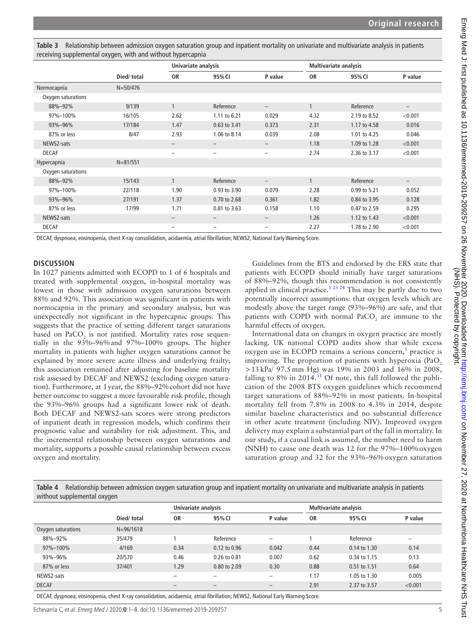<span id="page-4-0"></span>

| Table 3 Relationship between admission oxygen saturation group and inpatient mortality on univariate and multivariate analysis in patients |  |
|--------------------------------------------------------------------------------------------------------------------------------------------|--|
| receiving supplemental oxygen, with and without hypercapnia                                                                                |  |

|                    |              | Univariate analysis      |                          |                          |              | <b>Multivariate analysis</b> |                          |
|--------------------|--------------|--------------------------|--------------------------|--------------------------|--------------|------------------------------|--------------------------|
|                    | Died/total   | 0R                       | 95% CI                   | P value                  | <b>OR</b>    | 95% CI                       | P value                  |
| Normocapnia        | $N = 50/476$ |                          |                          |                          |              |                              |                          |
| Oxygen saturations |              |                          |                          |                          |              |                              |                          |
| 88%-92%            | 9/139        | $\overline{1}$           | Reference                | $\qquad \qquad -$        | $\mathbf{1}$ | Reference                    | $\qquad \qquad -$        |
| 97%-100%           | 16/105       | 2.62                     | 1.11 to 6.21             | 0.029                    | 4.32         | 2.19 to 8.52                 | < 0.001                  |
| 93%-96%            | 17/184       | 1.47                     | 0.63 to 3.41             | 0.373                    | 2.31         | 1.17 to 4.58                 | 0.016                    |
| 87% or less        | 8/47         | 2.93                     | 1.06 to 8.14             | 0.039                    | 2.08         | 1.01 to 4.25                 | 0.046                    |
| NEWS2-sats         |              | $\qquad \qquad -$        | $\overline{\phantom{m}}$ | $\overline{\phantom{m}}$ | 1.18         | 1.09 to 1.28                 | < 0.001                  |
| <b>DECAF</b>       |              | $\overline{\phantom{0}}$ | $\overline{\phantom{0}}$ | $\overline{\phantom{0}}$ | 2.74         | 2.36 to 3.17                 | < 0.001                  |
| Hypercapnia        | $N = 81/551$ |                          |                          |                          |              |                              |                          |
| Oxygen saturations |              |                          |                          |                          |              |                              |                          |
| 88%-92%            | 15/143       | 1                        | Reference                | $\qquad \qquad -$        | 1            | Reference                    | $\overline{\phantom{m}}$ |
| 97%-100%           | 22/118       | 1.90                     | 0.93 to 3.90             | 0.079                    | 2.28         | 0.99 to 5.21                 | 0.052                    |
| 93%-96%            | 27/191       | 1.37                     | 0.70 to 2.68             | 0.361                    | 1.82         | 0.84 to 3.95                 | 0.128                    |
| 87% or less        | 17/99        | 1.71                     | 0.81 to 3.63             | 0.158                    | 1.10         | 0.47 to 2.59                 | 0.295                    |
| NEWS2-sats         |              | $\qquad \qquad -$        | $\overline{\phantom{m}}$ | $\qquad \qquad -$        | 1.26         | 1.12 to 1.43                 | < 0.001                  |
| <b>DECAF</b>       |              | $\overline{\phantom{0}}$ | $\overline{\phantom{m}}$ | -                        | 2.27         | 1.78 to 2.90                 | < 0.001                  |

DECAF, dyspnoea, eosinopenia, chest X-ray consolidation, acidaemia, atrial fibrillation; NEWS2, National Early Warning Score.

#### **DISCUSSION**

In 1027 patients admitted with ECOPD to 1 of 6 hospitals and treated with supplemental oxygen, in-hospital mortality was lowest in those with admission oxygen saturations between 88% and 92%. This association was significant in patients with normocapnia in the primary and secondary analysis, but was unexpectedly not significant in the hypercapnic groups. This suggests that the practice of setting different target saturations based on  $\text{PaCO}_2$  is not justified. Mortality rates rose sequentially in the 93%–96%and 97%–100% groups. The higher mortality in patients with higher oxygen saturations cannot be explained by more severe acute illness and underlying frailty; this association remained after adjusting for baseline mortality risk assessed by DECAF and NEWS2 (excluding oxygen saturation). Furthermore, at 1year, the 88%–92%cohort did not have better outcome to suggest a more favourable risk profile, though the 93%–96% groups had a significant lower risk of death. Both DECAF and NEWS2-sats scores were strong predictors of inpatient death in regression models, which confirms their prognostic value and suitability for risk adjustment. This, and the incremental relationship between oxygen saturations and mortality, supports a possible causal relationship between excess oxygen and mortality.

Guidelines from the BTS and endorsed by the ERS state that patients with ECOPD should initially have target saturations of 88%–92%, though this recommendation is not consistently applied in clinical practice.<sup>1 23 24</sup> This may be partly due to two potentially incorrect assumptions: that oxygen levels which are modestly above the target range (93%–96%) are safe, and that patients with COPD with normal  $PaCO_2$  are immune to the harmful effects of oxygen.

International data on changes in oxygen practice are mostly lacking. UK national COPD audits show that while excess oxygen use in ECOPD remains a serious concern, $<sup>1</sup>$  $<sup>1</sup>$  $<sup>1</sup>$  practice is</sup> improving. The proportion of patients with hyperoxia (PaO<sub>2</sub>)  $>$ 13 kPa/ 97.5 mm Hg) was 19% in 2003 and 16% in 2008, falling to  $8\%$  in  $2014.<sup>31</sup>$  $2014.<sup>31</sup>$  $2014.<sup>31</sup>$  Of note, this fall followed the publication of the 2008 BTS oxygen guidelines which recommend target saturations of 88%–92% in most patients. In-hospital mortality fell from 7.8% in 2008 to 4.3% in 2014, despite similar baseline characteristics and no substantial difference in other acute treatment (including NIV). Improved oxygen delivery may explain a substantial part of the fall in mortality. In our study, if a causal link is assumed, the number need to harm (NNH) to cause one death was 12 for the 97%–100% oxygen saturation group and 32 for the 93%–96% oxygen saturation

<span id="page-4-1"></span>**Table 4** Relationship between admission oxygen saturation group and inpatient mortality on univariate and multivariate analysis in patients without supplemental oxygen

|                                                                                                                               |               |           | Univariate analysis      |                          |           | <b>Multivariate analysis</b> |         |  |
|-------------------------------------------------------------------------------------------------------------------------------|---------------|-----------|--------------------------|--------------------------|-----------|------------------------------|---------|--|
|                                                                                                                               | Died/total    | <b>OR</b> | 95% CI                   | P value                  | <b>OR</b> | 95% CI                       | P value |  |
| Oxygen saturations                                                                                                            | $N = 96/1618$ |           |                          |                          |           |                              |         |  |
| 88%-92%                                                                                                                       | 35/479        |           | Reference                |                          |           | Reference                    |         |  |
| 97%-100%                                                                                                                      | 4/169         | 0.34      | $0.12$ to $0.96$         | 0.042                    | 0.44      | $0.14$ to $1.30$             | 0.14    |  |
| 93%-96%                                                                                                                       | 20/570        | 0.46      | 0.26 to 0.81             | 0.007                    | 0.62      | 0.34 to 1.15                 | 0.13    |  |
| 87% or less                                                                                                                   | 37/401        | 1.29      | 0.80 to 2.09             | 0.30                     | 0.88      | 0.51 to 1.51                 | 0.64    |  |
| NEWS2-sats                                                                                                                    |               |           |                          |                          | 1.17      | 1.05 to 1.30                 | 0.005   |  |
| <b>DECAF</b>                                                                                                                  |               | —         | $\overline{\phantom{m}}$ | $\overline{\phantom{m}}$ | 2.91      | 2.37 to 3.57                 | < 0.001 |  |
| DECAF, dyspnoea, eosinopenia, chest X-ray consolidation, acidaemia, atrial fibrillation; NEWS2, National Early Warning Score. |               |           |                          |                          |           |                              |         |  |

Echevarria C, et al. Emerg Med J 2020;**0**:1–8. doi:10.1136/emermed-2019-209257 5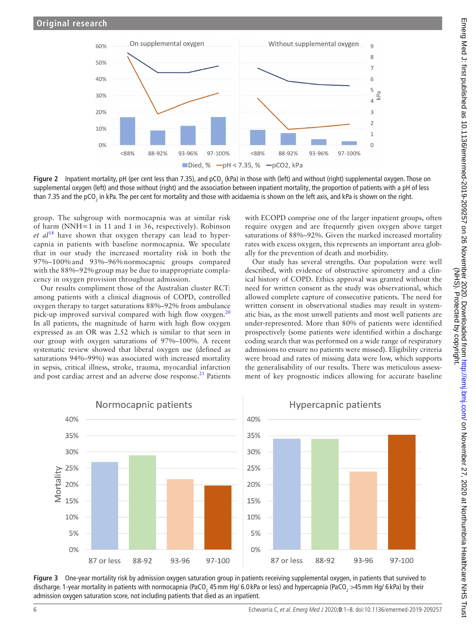

Figure 2 Inpatient mortality, pH (per cent less than 7.35), and pCO<sub>2</sub> (kPa) in those with (left) and without (right) supplemental oxygen. Those on supplemental oxygen (left) and those without (right) and the association between inpatient mortality, the proportion of patients with a pH of less than 7.35 and the pCO<sub>2</sub> in kPa. The per cent for mortality and those with acidaemia is shown on the left axis, and kPa is shown on the right.

group. The subgroup with normocapnia was at similar risk of harm (NNH=1 in 11 and 1 in 36, respectively). Robinson *et al*[18](#page-6-18) have shown that oxygen therapy can lead to hypercapnia in patients with baseline normocapnia. We speculate that in our study the increased mortality risk in both the 97%–100% and 93%–96% normocapnic groups compared with the 88%–92% group may be due to inappropriate complacency in oxygen provision throughout admission.

Our results compliment those of the Australian cluster RCT: among patients with a clinical diagnosis of COPD, controlled oxygen therapy to target saturations 88%–92% from ambulance pick-up improved survival compared with high flow oxygen.<sup>[20](#page-6-12)</sup> In all patients, the magnitude of harm with high flow oxygen expressed as an OR was 2.52 which is similar to that seen in our group with oxygen saturations of 97%–100%. A recent systematic review showed that liberal oxygen use (defined as saturations 94%–99%) was associated with increased mortality in sepsis, critical illness, stroke, trauma, myocardial infarction and post cardiac arrest and an adverse dose response.<sup>21</sup> Patients <span id="page-5-0"></span>with ECOPD comprise one of the larger inpatient groups, often require oxygen and are frequently given oxygen above target saturations of 88%–92%. Given the marked increased mortality rates with excess oxygen, this represents an important area globally for the prevention of death and morbidity.

Our study has several strengths. Our population were well described, with evidence of obstructive spirometry and a clinical history of COPD. Ethics approval was granted without the need for written consent as the study was observational, which allowed complete capture of consecutive patients. The need for written consent in observational studies may result in systematic bias, as the most unwell patients and most well patients are under-represented. More than 80% of patients were identified prospectively (some patients were identified within a discharge coding search that was performed on a wide range of respiratory admissions to ensure no patients were missed). Eligibility criteria were broad and rates of missing data were low, which supports the generalisability of our results. There was meticulous assessment of key prognostic indices allowing for accurate baseline



<span id="page-5-1"></span>**Figure 3** One-year mortality risk by admission oxygen saturation group in patients receiving supplemental oxygen, in patients that survived to discharge. 1-year mortality in patients with normocapnia (PaCO<sub>2</sub> 45 mm Hg/ 6.0 kPa or less) and hypercapnia (PaCO<sub>2</sub> >45 mm Hg/ 6 kPa) by their admission oxygen saturation score, not including patients that died as an inpatient.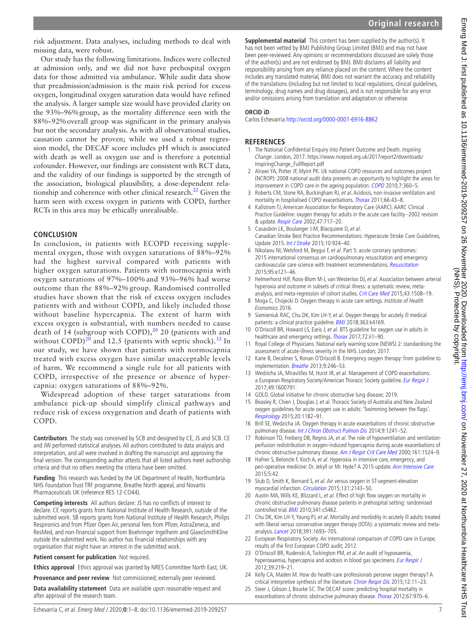risk adjustment. Data analyses, including methods to deal with missing data, were robust.

Our study has the following limitations. Indices were collected at admission only, and we did not have prehospital oxygen data for those admitted via ambulance. While audit data show that preadmission/admission is the main risk period for excess oxygen, longitudinal oxygen saturation data would have refined the analysis. A larger sample size would have provided clarity on the 93%–96%group, as the mortality difference seen with the 88%–92%overall group was significant in the primary analysis but not the secondary analysis. As with all observational studies, causation cannot be proven; while we used a robust regression model, the DECAF score includes pH which is associated with death as well as oxygen use and is therefore a potential cofounder. However, our findings are consistent with RCT data, and the validity of our findings is supported by the strength of the association, biological plausibility, a dose-dependent rela-tionship and coherence with other clinical research.<sup>[22](#page-6-14)</sup> Given the harm seen with excess oxygen in patients with COPD, further RCTs in this area may be ethically unrealisable.

#### **CONCLUSION**

In conclusion, in patients with ECOPD receiving supplemental oxygen, those with oxygen saturations of 88%–92% had the highest survival compared with patients with higher oxygen saturations. Patients with normocapnia with oxygen saturations of 97%–100% and 93%–96% had worse outcome than the 88%–92% group. Randomised controlled studies have shown that the risk of excess oxygen includes patients with and without COPD, and likely included those without baseline hypercapnia. The extent of harm with excess oxygen is substantial, with numbers needed to cause death of 14 (subgroup with COPD), $20$  (patients with and without COPD)<sup>20</sup> and 12.5 (patients with septic shock).<sup>32</sup> In our study, we have shown that patients with normocapnia treated with excess oxygen have similar unacceptable levels of harm. We recommend a single rule for all patients with COPD, irrespective of the presence or absence of hypercapnia: oxygen saturations of 88%–92%.

Widespread adoption of these target saturations from ambulance pick-up should simplify clinical pathways and reduce risk of excess oxygenation and death of patients with COPD.

**Contributors** The study was conceived by SCB and designed by CE, JS and SCB. CE and JW performed statistical analyses. All authors contributed to data analysis and interpretation, and all were involved in drafting the manuscript and approving the final version. The corresponding author attests that all listed authors meet authorship criteria and that no others meeting the criteria have been omitted.

**Funding** This research was funded by the UK Department of Health, Northumbria NHS Foundation Trust TRF programme, Breathe North appeal, and Novartis Pharmaceuticals UK (reference RES 12-CO44).

**Competing interests** All authors declare: JS has no conflicts of interest to declare. CE reports grants from National Institute of Health Research, outside of the submitted work. SB reports grants from National Institute of Health Research, Philips Respironics and from Pfizer Open Air, personal fees from Pfizer, AstraZeneca, and ResMed, and non-financial support from Boehringer Ingelheim and GlaxoSmithKline outside the submitted work. No author has financial relationships with any organisation that might have an interest in the submitted work.

**Patient consent for publication** Not required.

**Ethics approval** Ethics approval was granted by NRES Committee North East, UK.

**Provenance and peer review** Not commissioned; externally peer reviewed.

**Data availability statement** Data are available upon reasonable request and after approval of the research team.

**Supplemental material** This content has been supplied by the author(s). It has not been vetted by BMJ Publishing Group Limited (BMJ) and may not have been peer-reviewed. Any opinions or recommendations discussed are solely those of the author(s) and are not endorsed by BMJ. BMJ disclaims all liability and responsibility arising from any reliance placed on the content. Where the content includes any translated material, BMJ does not warrant the accuracy and reliability of the translations (including but not limited to local regulations, clinical guidelines, terminology, drug names and drug dosages), and is not responsible for any error and/or omissions arising from translation and adaptation or otherwise.

## **ORCID iD**

Carlos Echevarria <http://orcid.org/0000-0001-6916-8862>

## **REFERENCES**

- <span id="page-6-0"></span>1 The National Confidential Enquiry into Patient Outcome and Death. Inspiring Change. London, 2017. [https://www.ncepod.org.uk/2017report2/downloads/](https://www.ncepod.org.uk/2017report2/downloads/InspiringChange_FullReport.pdf) [InspiringChange\\_FullReport.pdf](https://www.ncepod.org.uk/2017report2/downloads/InspiringChange_FullReport.pdf)
- 2 Alrawi YA, Potter JF, Myint PK. Uk national COPD resources and outcomes project (NCROP): 2008 national audit data presents an opportunity to highlight the areas for improvement in [COPD](http://dx.doi.org/10.3109/15412555.2010.510157) care in the ageing population. COPD 2010;7:360-5.
- <span id="page-6-1"></span>3 Roberts CM, Stone RA, Buckingham RJ, et al. Acidosis, non-invasive ventilation and mortality in hospitalised COPD exacerbations. [Thorax](http://dx.doi.org/10.1136/thx.2010.153114) 2011;66:43-8.
- <span id="page-6-2"></span>4 Kallstrom TJ, American Association for Respiratory Care (AARC). AARC Clinical Practice Guideline: oxygen therapy for adults in the acute care facility--2002 revision & update. [Respir Care](http://www.ncbi.nlm.nih.gov/pubmed/http://www.ncbi.nlm.nih.gov/pubmed/12078655) 2002;47:717–20.
- 5 Casaubon LK, Boulanger J-M, Blacquiere D, et al. Canadian Stroke Best Practice Recommendations: Hyperacute Stroke Care Guidelines, Update 2015. [Int J Stroke](http://dx.doi.org/10.1111/ijs.12551) 2015;10:924–40.
- 6 Nikolaou NI, Welsford M, Beygui F, et al. Part 5: acute coronary syndromes: 2015 international consensus on cardiopulmonary resuscitation and emergency cardiovascular care science with treatment recommendations. [Resuscitation](http://dx.doi.org/10.1016/j.resuscitation.2015.07.043) 2015;95:e121–46.
- 7 Helmerhorst HJF, Roos-Blom M-J, van Westerloo DJ, et al. Association between arterial hyperoxia and outcome in subsets of critical illness: a systematic review, meta-analysis, and meta-regression of cohort studies. [Crit Care Med](http://dx.doi.org/10.1097/CCM.0000000000000998) 2015;43:1508-19.
- 8 Moga C, Chojecki D. Oxygen therapy in acute care settings. Institute of Health Economics 2016.
- <span id="page-6-11"></span>9 Siemieniuk RAC, Chu DK, Kim LH-Y, et al. Oxygen therapy for acutely ill medical patients: a clinical practice quideline. **[BMJ](http://dx.doi.org/10.1136/bmj.k4169)** 2018;363:k4169.
- <span id="page-6-3"></span>10 O'Driscoll BR, Howard LS, Earis J, et al. BTS guideline for oxygen use in adults in healthcare and emergency settings. [Thorax](http://dx.doi.org/10.1136/thoraxjnl-2016-209729) 2017;72:ii1-90.
- <span id="page-6-9"></span>11 Royal College of Physicians. National early warning score (NEWS) 2: standardising the assessment of acute-illness severity in the NHS. London; 2017.
- <span id="page-6-4"></span>12 Kane B, Decalmer S, Ronan O'Driscoll B. Emergency oxygen therapy: from guideline to implementation. [Breathe](http://dx.doi.org/10.1183/20734735.025212) 2013;9:246-53.
- <span id="page-6-5"></span>13 Wedzicha JA, Miravitlles M, Hurst JR, et al. Management of COPD exacerbations: a European Respiratory Society/American Thoracic Society guideline. [Eur Respir J](http://dx.doi.org/10.1183/13993003.00791-2016) 2017;49:1600791.
- <span id="page-6-6"></span>14 GOLD. Global initiative for chronic obstructive lung disease; 2019.
- <span id="page-6-7"></span>15 Beasley R, Chien J, Douglas J, et al. Thoracic Society of Australia and New Zealand oxygen guidelines for acute oxygen use in adults: 'Swimming between the flags'. [Respirology](http://dx.doi.org/10.1111/resp.12620) 2015;20:1182–91.
- <span id="page-6-8"></span>16 Brill SE, Wedzicha JA. Oxygen therapy in acute exacerbations of chronic obstructive pulmonary disease. [Int J Chron Obstruct Pulmon Dis](http://dx.doi.org/10.2147/COPD.S41476) 2014;9:1241-52.
- <span id="page-6-10"></span>17 Robinson TD, Freiberg DB, Regnis JA, et al. The role of hypoventilation and ventilationperfusion redistribution in oxygen-induced hypercapnia during acute exacerbations of chronic obstructive pulmonary disease. [Am J Respir Crit Care Med](http://dx.doi.org/10.1164/ajrccm.161.5.9904119) 2000;161:1524-9.
- <span id="page-6-18"></span>18 Hafner S, Beloncle F, Koch A, et al. Hyperoxia in intensive care, emergency, and peri-operative medicine: Dr. Jekyll or Mr. Hyde? A 2015 update. [Ann Intensive Care](http://dx.doi.org/10.1186/s13613-015-0084-6) 2015;5:42.
- 19 Stub D, Smith K, Bernard S, et al. Air versus oxygen in ST-segment-elevation myocardial infarction. [Circulation](http://dx.doi.org/10.1161/CIRCULATIONAHA.114.014494) 2015;131:2143–50.
- <span id="page-6-12"></span>20 Austin MA, Wills KE, Blizzard L, et al. Effect of high flow oxygen on mortality in chronic obstructive pulmonary disease patients in prehospital setting: randomised controlled trial. [BMJ](http://dx.doi.org/10.1136/bmj.c5462) 2010;341:c5462.
- <span id="page-6-13"></span>21 Chu DK, Kim LH-Y, Young PJ, et al. Mortality and morbidity in acutely ill adults treated with liberal versus conservative oxygen therapy (IOTA): a systematic review and metaanalysis. [Lancet](http://dx.doi.org/10.1016/S0140-6736(18)30479-3) 2018;391:1693–705.
- <span id="page-6-14"></span>22 European Respiratory Society. An international comparison of COPD care in Europe, results of the first European COPD audit; 2012.
- <span id="page-6-15"></span>23 O'Driscoll BR, Rudenski A, Turkington PM, et al. An audit of hypoxaemia, hyperoxaemia, hypercapnia and acidosis in blood gas specimens. [Eur Respir J](http://dx.doi.org/10.1183/09031936.00042711) 2012;39:219–21.
- <span id="page-6-16"></span>24 Kelly CA, Maden M. How do health-care professionals perceive oxygen therapy? A critical interpretive synthesis of the literature. [Chron Respir Dis](http://dx.doi.org/10.1177/1479972314562408) 2015;12:11-23.
- <span id="page-6-17"></span>25 Steer J, Gibson J, Bourke SC. The DECAF score: predicting hospital mortality in exacerbations of chronic obstructive pulmonary disease. [Thorax](http://dx.doi.org/10.1136/thoraxjnl-2012-202103) 2012;67:970-6.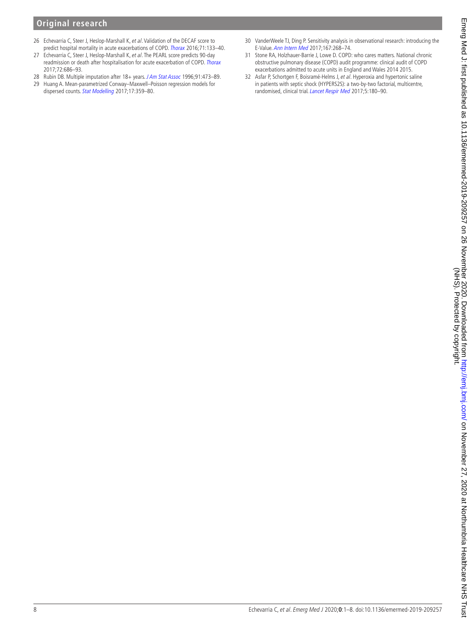- 26 Echevarria C, Steer J, Heslop-Marshall K, et al. Validation of the DECAF score to predict hospital mortality in acute exacerbations of COPD. [Thorax](http://dx.doi.org/10.1136/thoraxjnl-2015-207775) 2016;71:133-40.
- <span id="page-7-0"></span>27 Echevarria C, Steer J, Heslop-Marshall K, et al. The PEARL score predicts 90-day readmission or death after hospitalisation for acute exacerbation of COPD. [Thorax](http://dx.doi.org/10.1136/thoraxjnl-2016-209298) 2017;72:686–93.
- 28 Rubin DB. Multiple imputation after 18+ years. [J Am Stat Assoc](http://dx.doi.org/10.1080/01621459.1996.10476908) 1996;91:473-89.<br>29 Huang A. Mean-parametrized Conway-Maxwell-Poisson regression models for
- <span id="page-7-1"></span>Huang A. Mean-parametrized Conway–Maxwell–Poisson regression models for dispersed counts. [Stat Modelling](http://dx.doi.org/10.1177/1471082X17697749) 2017;17:359–80.
- <span id="page-7-2"></span>30 VanderWeele TJ, Ding P. Sensitivity analysis in observational research: introducing the E-Value. [Ann Intern Med](http://dx.doi.org/10.7326/M16-2607) 2017;167:268–74.
- <span id="page-7-3"></span>31 Stone RA, Holzhauer-Barrie J, Lowe D. COPD: who cares matters. National chronic obstructive pulmonary disease (COPD) audit programme: clinical audit of COPD exacerbations admitted to acute units in England and Wales 2014 2015.
- <span id="page-7-4"></span>32 Asfar P, Schortgen F, Boisramé-Helms J, et al. Hyperoxia and hypertonic saline in patients with septic shock (HYPERS2S): a two-by-two factorial, multicentre, randomised, clinical trial. [Lancet Respir Med](http://dx.doi.org/10.1016/S2213-2600(17)30046-2) 2017;5:180–90.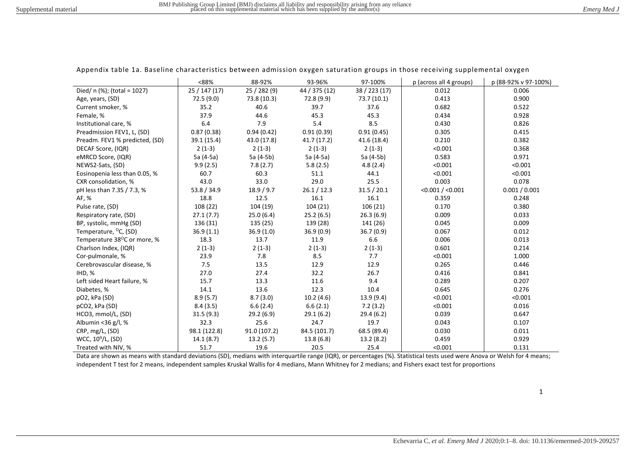|                                          | <88%         | 88-92%      | 93-96%        | 97-100%       | p (across all 4 groups) | p (88-92% v 97-100%) |
|------------------------------------------|--------------|-------------|---------------|---------------|-------------------------|----------------------|
| Died/ $n$ (%); (total = 1027)            | 25/147(17)   | 25/282(9)   | 44 / 375 (12) | 38 / 223 (17) | 0.012                   | 0.006                |
| Age, years, (SD)                         | 72.5 (9.0)   | 73.8 (10.3) | 72.8 (9.9)    | 73.7 (10.1)   | 0.413                   | 0.900                |
| Current smoker, %                        | 35.2         | 40.6        | 39.7          | 37.6          | 0.682                   | 0.522                |
| Female, %                                | 37.9         | 44.6        | 45.3          | 45.3          | 0.434                   | 0.928                |
| Institutional care, %                    | 6.4          | 7.9         | 5.4           | 8.5           | 0.430                   | 0.826                |
| Preadmission FEV1, L, (SD)               | 0.87(0.38)   | 0.94(0.42)  | 0.91(0.39)    | 0.91(0.45)    | 0.305                   | 0.415                |
| Preadm. FEV1 % predicted, (SD)           | 39.1 (15.4)  | 43.0 (17.8) | 41.7 (17.2)   | 41.6(18.4)    | 0.210                   | 0.382                |
| DECAF Score, (IQR)                       | $2(1-3)$     | $2(1-3)$    | $2(1-3)$      | $2(1-3)$      | < 0.001                 | 0.368                |
| eMRCD Score, (IQR)                       | 5a (4-5a)    | 5a (4-5b)   | 5a (4-5a)     | 5a (4-5b)     | 0.583                   | 0.971                |
| NEWS2-Sats, (SD)                         | 9.9(2.5)     | 7.8(2.7)    | 5.8(2.5)      | 4.8(2.4)      | < 0.001                 | < 0.001              |
| Eosinopenia less than 0.05, %            | 60.7         | 60.3        | 51.1          | 44.1          | < 0.001                 | < 0.001              |
| CXR consolidation, %                     | 43.0         | 33.0        | 29.0          | 25.5          | 0.003                   | 0.078                |
| pH less than 7.35 / 7.3, %               | 53.8 / 34.9  | 18.9 / 9.7  | 26.1 / 12.3   | 31.5 / 20.1   | < 0.001 / < 0.001       | 0.001/0.001          |
| AF, %                                    | 18.8         | 12.5        | 16.1          | 16.1          | 0.359                   | 0.248                |
| Pulse rate, (SD)                         | 108 (22)     | 104 (19)    | 104(21)       | 106(21)       | 0.170                   | 0.380                |
| Respiratory rate, (SD)                   | 27.1(7.7)    | 25.0(6.4)   | 25.2(6.5)     | 26.3(6.9)     | 0.009                   | 0.033                |
| BP, systolic, mmHg (SD)                  | 136 (31)     | 135 (25)    | 139 (28)      | 141 (26)      | 0.045                   | 0.009                |
| Temperature, <sup>O</sup> C, (SD)        | 36.9(1.1)    | 36.9(1.0)   | 36.9(0.9)     | 36.7(0.9)     | 0.067                   | 0.012                |
| Temperature 38 <sup>o</sup> C or more, % | 18.3         | 13.7        | 11.9          | 6.6           | 0.006                   | 0.013                |
| Charlson Index, (IQR)                    | $2(1-3)$     | $2(1-3)$    | $2(1-3)$      | $2(1-3)$      | 0.601                   | 0.214                |
| Cor-pulmonale, %                         | 23.9         | 7.8         | 8.5           | 7.7           | < 0.001                 | 1.000                |
| Cerebrovascular disease, %               | 7.5          | 13.5        | 12.9          | 12.9          | 0.265                   | 0.446                |
| IHD, %                                   | 27.0         | 27.4        | 32.2          | 26.7          | 0.416                   | 0.841                |
| Left sided Heart failure, %              | 15.7         | 13.3        | 11.6          | 9.4           | 0.289                   | 0.207                |
| Diabetes, %                              | 14.1         | 13.6        | 12.3          | 10.4          | 0.645                   | 0.276                |
| pO2, kPa (SD)                            | 8.9(5.7)     | 8.7(3.0)    | 10.2(4.6)     | 13.9(9.4)     | < 0.001                 | < 0.001              |
| pCO2, kPa (SD)                           | 8.4(3.5)     | 6.6(2.4)    | 6.6(2.1)      | 7.2(3.2)      | < 0.001                 | 0.016                |
| HCO3, mmol/L, (SD)                       | 31.5(9.3)    | 29.2(6.9)   | 29.1(6.2)     | 29.4(6.2)     | 0.039                   | 0.647                |
| Albumin < $36$ g/l, %                    | 32.3         | 25.6        | 24.7          | 19.7          | 0.043                   | 0.107                |
| CRP, mg/L, (SD)                          | 98.1 (122.8) | 91.0(107.2) | 84.5 (101.7)  | 68.5 (89.4)   | 0.030                   | 0.011                |
| WCC, $10^9$ /L, (SD)                     | 14.1(8.7)    | 13.2(5.7)   | 13.8(6.8)     | 13.2(8.2)     | 0.459                   | 0.929                |
| Treated with NIV. %                      | 51.7         | 19.6        | 20.5          | 25.4          | < 0.001                 | 0.131                |

Appendix table 1a. Baseline characteristics between admission oxygen saturation groups in those receiving supplemental oxygen

Data are shown as means with standard deviations (SD), medians with interquartile range (IQR), or percentages (%). Statistical tests used were Anova or Welsh for 4 means; independent T test for 2 means, independent samples Kruskal Wallis for 4 medians, Mann Whitney for 2 medians; and Fishers exact test for proportions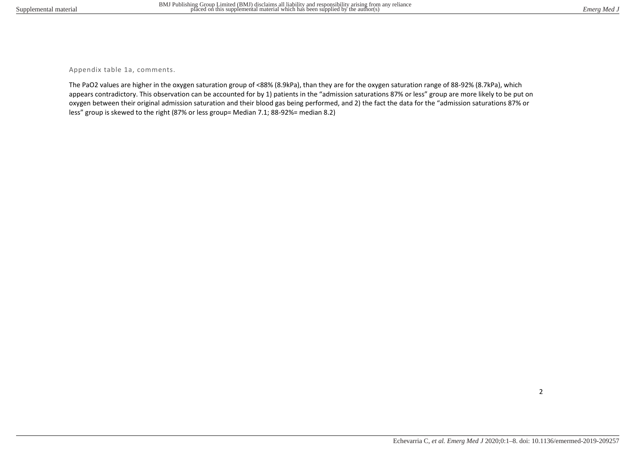Appendix table 1a, comments.

The PaO2 values are higher in the oxygen saturation group of <88% (8.9kPa), than they are for the oxygen saturation range of 88-92% (8.7kPa), which appears contradictory. This observation can be accounted for by 1) patients in the "admission saturations 87% or less" group are more likely to be put on oxygen between their original admission saturation and their blood gas being performed, and 2) the fact the data for the "admission saturations 87% or less" group is skewed to the right (87% or less group= Median 7.1; 88-92%= median 8.2)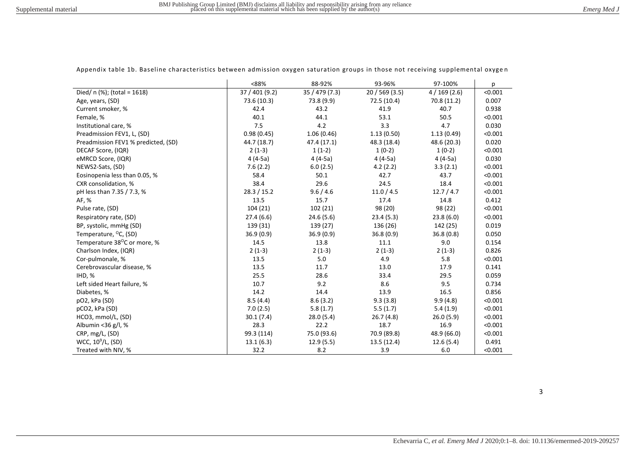|                                          | <88%        | 88-92%      | 93-96%      | 97-100%     | р       |
|------------------------------------------|-------------|-------------|-------------|-------------|---------|
| Died/ $n$ (%); (total = 1618)            | 37/401(9.2) | 35/479(7.3) | 20/569(3.5) | 4/169(2.6)  | < 0.001 |
| Age, years, (SD)                         | 73.6 (10.3) | 73.8 (9.9)  | 72.5 (10.4) | 70.8 (11.2) | 0.007   |
| Current smoker, %                        | 42.4        | 43.2        | 41.9        | 40.7        | 0.938   |
| Female, %                                | 40.1        | 44.1        | 53.1        | 50.5        | < 0.001 |
| Institutional care, %                    | 7.5         | 4.2         | 3.3         | 4.7         | 0.030   |
| Preadmission FEV1, L, (SD)               | 0.98(0.45)  | 1.06(0.46)  | 1.13(0.50)  | 1.13(0.49)  | < 0.001 |
| Preadmission FEV1 % predicted, (SD)      | 44.7 (18.7) | 47.4 (17.1) | 48.3 (18.4) | 48.6 (20.3) | 0.020   |
| DECAF Score, (IQR)                       | $2(1-3)$    | $1(1-2)$    | $1(0-2)$    | $1(0-2)$    | < 0.001 |
| eMRCD Score, (IQR)                       | $4(4-5a)$   | 4 (4-5a)    | $4(4-5a)$   | 4 (4-5a)    | 0.030   |
| NEWS2-Sats, (SD)                         | 7.6(2.2)    | 6.0(2.5)    | 4.2(2.2)    | 3.3(2.1)    | < 0.001 |
| Eosinopenia less than 0.05, %            | 58.4        | 50.1        | 42.7        | 43.7        | < 0.001 |
| CXR consolidation, %                     | 38.4        | 29.6        | 24.5        | 18.4        | < 0.001 |
| pH less than 7.35 / 7.3, %               | 28.3 / 15.2 | 9.6 / 4.6   | 11.0 / 4.5  | 12.7 / 4.7  | < 0.001 |
| AF, %                                    | 13.5        | 15.7        | 17.4        | 14.8        | 0.412   |
| Pulse rate, (SD)                         | 104 (21)    | 102 (21)    | 98 (20)     | 98 (22)     | < 0.001 |
| Respiratory rate, (SD)                   | 27.4(6.6)   | 24.6(5.6)   | 23.4(5.3)   | 23.8(6.0)   | < 0.001 |
| BP, systolic, mmHg (SD)                  | 139 (31)    | 139 (27)    | 136 (26)    | 142 (25)    | 0.019   |
| Temperature, <sup>o</sup> C, (SD)        | 36.9(0.9)   | 36.9(0.9)   | 36.8(0.9)   | 36.8(0.8)   | 0.050   |
| Temperature 38 <sup>o</sup> C or more, % | 14.5        | 13.8        | 11.1        | 9.0         | 0.154   |
| Charlson Index, (IQR)                    | $2(1-3)$    | $2(1-3)$    | $2(1-3)$    | $2(1-3)$    | 0.826   |
| Cor-pulmonale, %                         | 13.5        | 5.0         | 4.9         | 5.8         | < 0.001 |
| Cerebrovascular disease, %               | 13.5        | 11.7        | 13.0        | 17.9        | 0.141   |
| IHD, %                                   | 25.5        | 28.6        | 33.4        | 29.5        | 0.059   |
| Left sided Heart failure, %              | 10.7        | 9.2         | 8.6         | 9.5         | 0.734   |
| Diabetes, %                              | 14.2        | 14.4        | 13.9        | 16.5        | 0.856   |
| pO2, kPa (SD)                            | 8.5(4.4)    | 8.6(3.2)    | 9.3(3.8)    | 9.9(4.8)    | < 0.001 |
| pCO2, kPa (SD)                           | 7.0(2.5)    | 5.8(1.7)    | 5.5(1.7)    | 5.4(1.9)    | < 0.001 |
| HCO3, mmol/L, (SD)                       | 30.1(7.4)   | 28.0(5.4)   | 26.7(4.8)   | 26.0(5.9)   | < 0.001 |
| Albumin < $36 \text{ g/l}$ , %           | 28.3        | 22.2        | 18.7        | 16.9        | < 0.001 |
| CRP, mg/L, (SD)                          | 99.3 (114)  | 75.0 (93.6) | 70.9 (89.8) | 48.9 (66.0) | < 0.001 |
| WCC, $10^9/L$ , (SD)                     | 13.1(6.3)   | 12.9(5.5)   | 13.5(12.4)  | 12.6(5.4)   | 0.491   |
| Treated with NIV, %                      | 32.2        | 8.2         | 3.9         | 6.0         | < 0.001 |

Appendix table 1b. Baseline characteristics between admission oxygen saturation groups in those not receiving supplemental oxyge n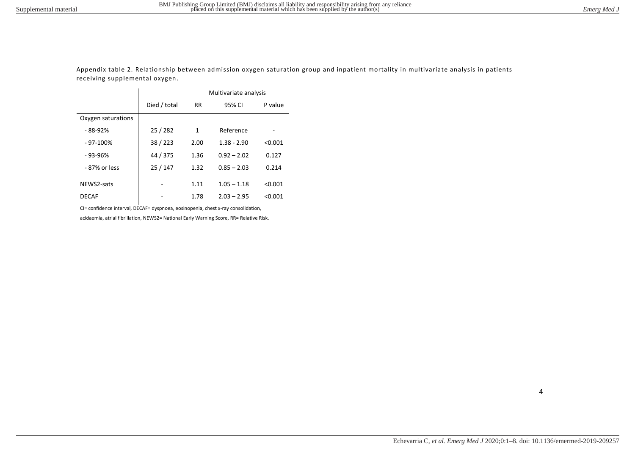Appendix table 2. Relationship between admission oxygen saturation group and inpatient mortality in multivariate analysis in patients receiving supplemental oxygen.

|                    |              |           | Multivariate analysis |         |
|--------------------|--------------|-----------|-----------------------|---------|
|                    | Died / total | <b>RR</b> | 95% CI                | P value |
| Oxygen saturations |              |           |                       |         |
| $-88-92%$          | 25 / 282     | 1         | Reference             |         |
| $-97-100%$         | 38/223       | 2.00      | $1.38 - 2.90$         | < 0.001 |
| $-93-96%$          | 44 / 375     | 1.36      | $0.92 - 2.02$         | 0.127   |
| - 87% or less      | 25 / 147     | 1.32      | $0.85 - 2.03$         | 0.214   |
| NEWS2-sats         |              | 1.11      | $1.05 - 1.18$         | < 0.001 |
| <b>DECAF</b>       |              | 1.78      | $2.03 - 2.95$         | < 0.001 |

CI= confidence interval, DECAF= dyspnoea, eosinopenia, chest x-ray consolidation,

acidaemia, atrial fibrillation, NEWS2= National Early Warning Score, RR= Relative Risk.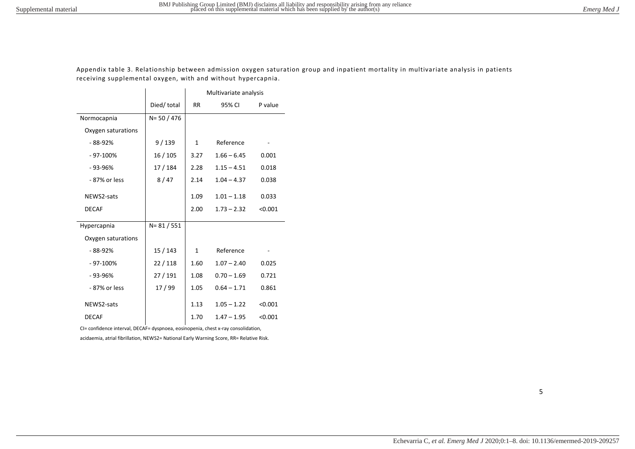Appendix table 3. Relationship between admission oxygen saturation group and inpatient mortality in multivariate analysis in patients receiving supplemental oxygen, with and without hypercapnia.

|                    |                |              | Multivariate analysis |         |
|--------------------|----------------|--------------|-----------------------|---------|
|                    | Died/total     | <b>RR</b>    | 95% CI                | P value |
| Normocapnia        | $N = 50 / 476$ |              |                       |         |
| Oxygen saturations |                |              |                       |         |
| $-88-92%$          | 9/139          | 1            | Reference             |         |
| $-97-100%$         | 16/105         | 3.27         | $1.66 - 6.45$         | 0.001   |
| $-93-96%$          | 17 / 184       | 2.28         | $1.15 - 4.51$         | 0.018   |
| - 87% or less      | 8/47           | 2.14         | $1.04 - 4.37$         | 0.038   |
| NEWS2-sats         |                | 1.09         | $1.01 - 1.18$         | 0.033   |
| <b>DECAF</b>       |                | 2.00         | $1.73 - 2.32$         | < 0.001 |
| Hypercapnia        | $N = 81 / 551$ |              |                       |         |
| Oxygen saturations |                |              |                       |         |
| $-88-92%$          | 15 / 143       | $\mathbf{1}$ | Reference             |         |
| $-97-100%$         | 22/118         | 1.60         | $1.07 - 2.40$         | 0.025   |
| $-93-96%$          | 27/191         | 1.08         | $0.70 - 1.69$         | 0.721   |
| - 87% or less      | 17 / 99        | 1.05         | $0.64 - 1.71$         | 0.861   |
| NEWS2-sats         |                | 1.13         | $1.05 - 1.22$         | < 0.001 |
| <b>DECAF</b>       |                | 1.70         | $1.47 - 1.95$         | < 0.001 |

CI= confidence interval, DECAF= dyspnoea, eosinopenia, chest x-ray consolidation,

acidaemia, atrial fibrillation, NEWS2= National Early Warning Score, RR= Relative Risk.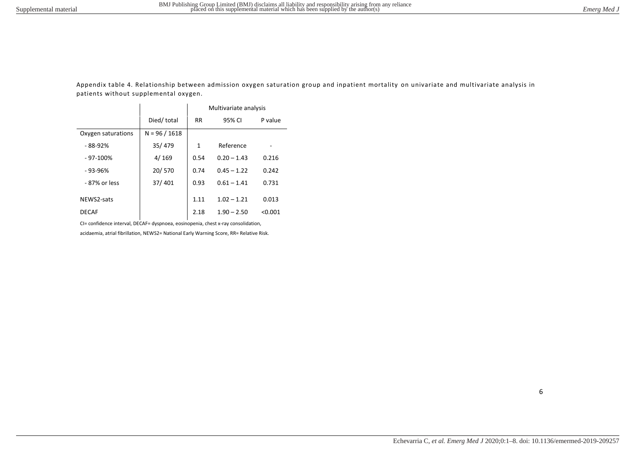Appendix table 4. Relationship between admission oxygen saturation group and inpatient mortality on univariate and multivariate analysis in patients without supplemental oxygen.

|                    |                 |           | Multivariate analysis |         |
|--------------------|-----------------|-----------|-----------------------|---------|
|                    | Died/total      | <b>RR</b> | 95% CI                | P value |
| Oxygen saturations | $N = 96 / 1618$ |           |                       |         |
| $-88-92%$          | 35/479          | 1         | Reference             |         |
| $-97-100%$         | 4/169           | 0.54      | $0.20 - 1.43$         | 0.216   |
| $-93-96%$          | 20/570          | 0.74      | $0.45 - 1.22$         | 0.242   |
| - 87% or less      | 37/401          | 0.93      | $0.61 - 1.41$         | 0.731   |
| NEWS2-sats         |                 | 1.11      | $1.02 - 1.21$         | 0.013   |
| <b>DECAF</b>       |                 | 2.18      | $1.90 - 2.50$         | < 0.001 |

CI= confidence interval, DECAF= dyspnoea, eosinopenia, chest x-ray consolidation,

acidaemia, atrial fibrillation, NEWS2= National Early Warning Score, RR= Relative Risk.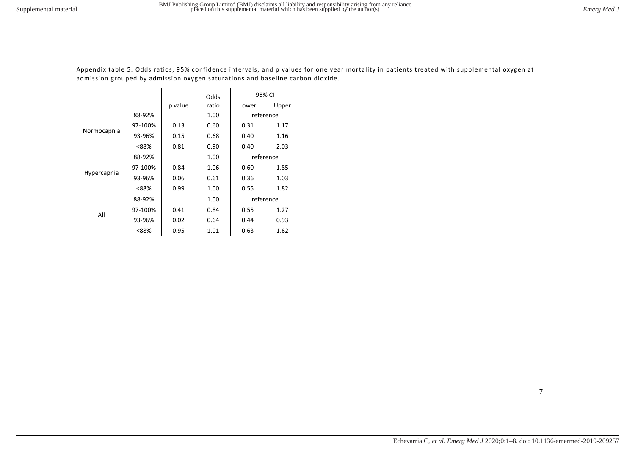|             |         |         | Odds  | 95% CI    |       |  |
|-------------|---------|---------|-------|-----------|-------|--|
|             |         | p value | ratio | Lower     | Upper |  |
|             | 88-92%  |         | 1.00  | reference |       |  |
|             | 97-100% | 0.13    | 0.60  | 0.31      | 1.17  |  |
| Normocapnia | 93-96%  | 0.15    | 0.68  | 0.40      | 1.16  |  |
|             | <88%    | 0.81    | 0.90  | 0.40      | 2.03  |  |
|             | 88-92%  |         | 1.00  | reference |       |  |
|             | 97-100% | 0.84    | 1.06  | 0.60      | 1.85  |  |
| Hypercapnia | 93-96%  | 0.06    | 0.61  | 0.36      | 1.03  |  |
|             | <88%    | 0.99    | 1.00  | 0.55      | 1.82  |  |
|             | 88-92%  |         | 1.00  | reference |       |  |
|             | 97-100% | 0.41    | 0.84  | 0.55      | 1.27  |  |
| All         | 93-96%  |         |       |           |       |  |

<88% 0.95 1.01 0.63 1.62

Appendix table 5. Odds ratios, 95% confidence intervals, and p values for one year mortality in patients treated with supplemental oxygen at admission grouped by admission oxygen saturations and baseline carbon dioxide.